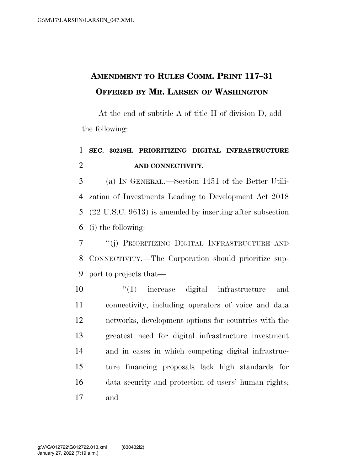## **AMENDMENT TO RULES COMM. PRINT 117–31 OFFERED BY MR. LARSEN OF WASHINGTON**

At the end of subtitle A of title II of division D, add the following:

## **SEC. 30219H. PRIORITIZING DIGITAL INFRASTRUCTURE AND CONNECTIVITY.**

 (a) IN GENERAL.—Section 1451 of the Better Utili- zation of Investments Leading to Development Act 2018 (22 U.S.C. 9613) is amended by inserting after subsection (i) the following:

 ''(j) PRIORITIZING DIGITAL INFRASTRUCTURE AND CONNECTIVITY.—The Corporation should prioritize sup-port to projects that—

 $\frac{10}{10}$  increase digital infrastructure and connectivity, including operators of voice and data networks, development options for countries with the greatest need for digital infrastructure investment and in cases in which competing digital infrastruc- ture financing proposals lack high standards for data security and protection of users' human rights; and